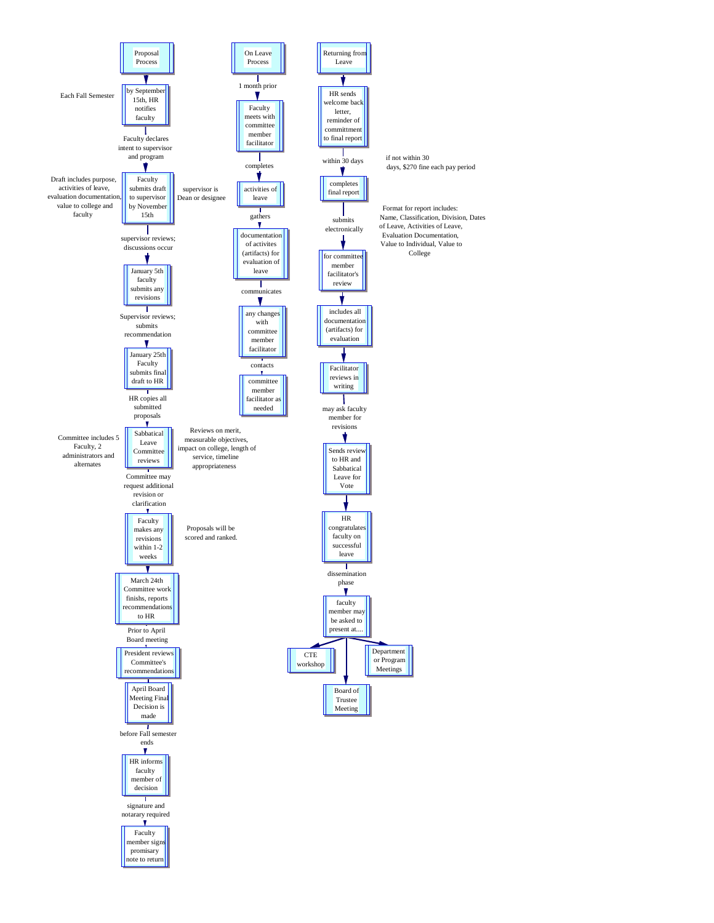